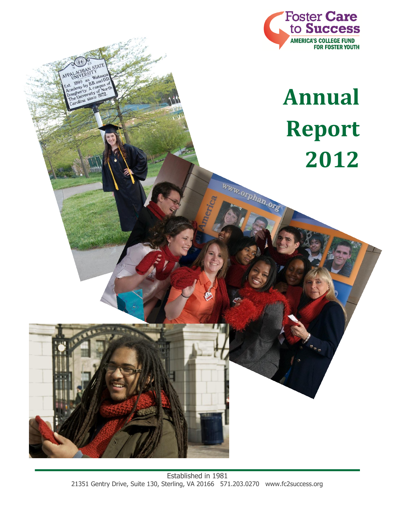

# **Annual Report 2012**

www.orphan.org

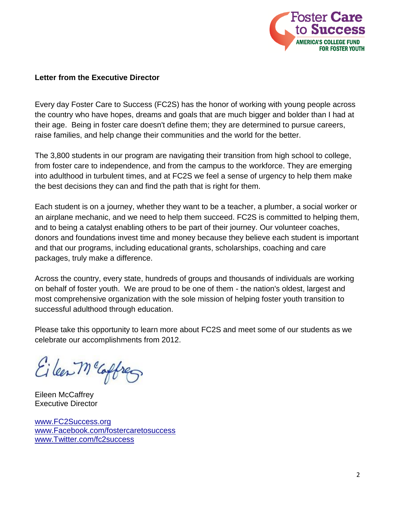

## **Letter from the Executive Director**

Every day Foster Care to Success (FC2S) has the honor of working with young people across the country who have hopes, dreams and goals that are much bigger and bolder than I had at their age. Being in foster care doesn't define them; they are determined to pursue careers, raise families, and help change their communities and the world for the better.

The 3,800 students in our program are navigating their transition from high school to college, from foster care to independence, and from the campus to the workforce. They are emerging into adulthood in turbulent times, and at FC2S we feel a sense of urgency to help them make the best decisions they can and find the path that is right for them.

Each student is on a journey, whether they want to be a teacher, a plumber, a social worker or an airplane mechanic, and we need to help them succeed. FC2S is committed to helping them, and to being a catalyst enabling others to be part of their journey. Our volunteer coaches, donors and foundations invest time and money because they believe each student is important and that our programs, including educational grants, scholarships, coaching and care packages, truly make a difference.

Across the country, every state, hundreds of groups and thousands of individuals are working on behalf of foster youth. We are proud to be one of them - the nation's oldest, largest and most comprehensive organization with the sole mission of helping foster youth transition to successful adulthood through education.

Please take this opportunity to learn more about FC2S and meet some of our students as we celebrate our accomplishments from 2012.

Eileen Mc Cappres

Eileen McCaffrey Executive Director

[www.FC2Success.org](http://www.fc2success.org/) [www.Facebook.com/fostercaretosuccess](http://www.facebook.com/fostercaretosuccess) [www.Twitter.com/fc2success](http://www.twitter.com/fc2success)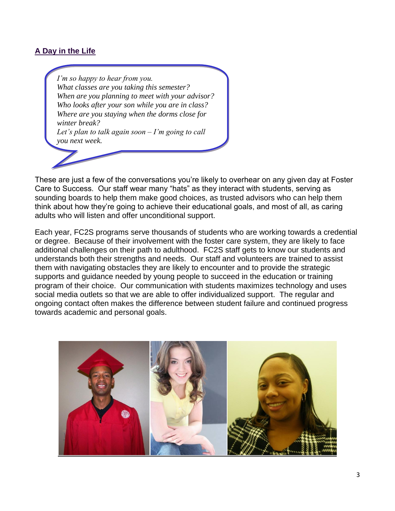# **A Day in the Life**

*I'm so happy to hear from you. What classes are you taking this semester? When are you planning to meet with your advisor? Who looks after your son while you are in class? Where are you staying when the dorms close for winter break? Let's plan to talk again soon – I'm going to call you next week.*

These are just a few of the conversations you're likely to overhear on any given day at Foster Care to Success. Our staff wear many "hats" as they interact with students, serving as sounding boards to help them make good choices, as trusted advisors who can help them think about how they're going to achieve their educational goals, and most of all, as caring adults who will listen and offer unconditional support.

Each year, FC2S programs serve thousands of students who are working towards a credential or degree. Because of their involvement with the foster care system, they are likely to face additional challenges on their path to adulthood. FC2S staff gets to know our students and understands both their strengths and needs. Our staff and volunteers are trained to assist them with navigating obstacles they are likely to encounter and to provide the strategic supports and guidance needed by young people to succeed in the education or training program of their choice. Our communication with students maximizes technology and uses social media outlets so that we are able to offer individualized support. The regular and ongoing contact often makes the difference between student failure and continued progress towards academic and personal goals.

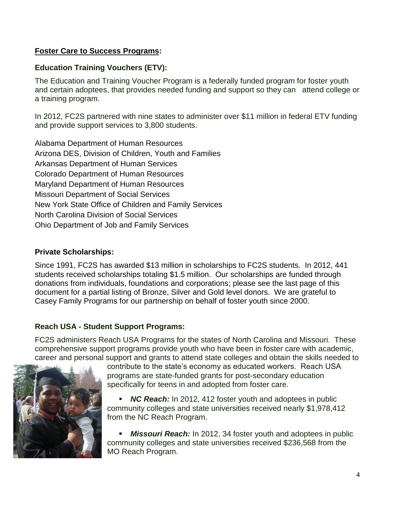# **Foster Care to Success Programs:**

## **Education Training Vouchers (ETV):**

The Education and Training Voucher Program is a federally funded program for foster youth and certain adoptees, that provides needed funding and support so they can attend college or a training program.

In 2012, FC2S partnered with nine states to administer over \$11 million in federal ETV funding and provide support services to 3,800 students.

Alabama Department of Human Resources Arizona DES, Division of Children, Youth and Families Arkansas Department of Human Services Colorado Department of Human Resources Maryland Department of Human Resources Missouri Department of Social Services New York State Office of Children and Family Services North Carolina Division of Social Services Ohio Department of Job and Family Services

## **Private Scholarships:**

Since 1991, FC2S has awarded \$13 million in scholarships to FC2S students. In 2012, 441 students received scholarships totaling \$1.5 million. Our scholarships are funded through donations from individuals, foundations and corporations; please see the last page of this document for a partial listing of Bronze, Silver and Gold level donors. We are grateful to Casey Family Programs for our partnership on behalf of foster youth since 2000.

# **Reach USA - Student Support Programs:**

FC2S administers Reach USA Programs for the states of North Carolina and Missouri. These comprehensive support programs provide youth who have been in foster care with academic, career and personal support and grants to attend state colleges and obtain the skills needed to



contribute to the state's economy as educated workers. Reach USA programs are state-funded grants for post-secondary education specifically for teens in and adopted from foster care.

 *NC Reach:* In 2012, 412 foster youth and adoptees in public community colleges and state universities received nearly \$1,978,412 from the NC Reach Program.

 *Missouri Reach:* In 2012, 34 foster youth and adoptees in public community colleges and state universities received \$236,568 from the MO Reach Program.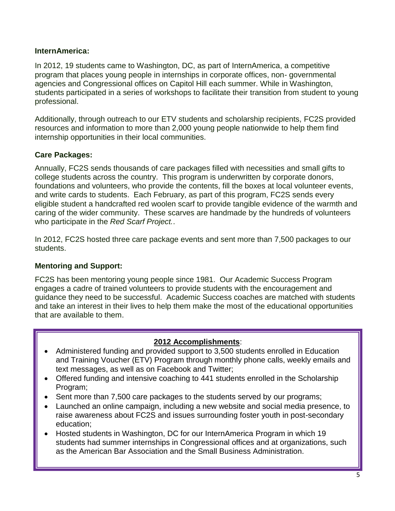# **InternAmerica:**

In 2012, 19 students came to Washington, DC, as part of InternAmerica, a competitive program that places young people in internships in corporate offices, non- governmental agencies and Congressional offices on Capitol Hill each summer. While in Washington, students participated in a series of workshops to facilitate their transition from student to young professional.

Additionally, through outreach to our ETV students and scholarship recipients, FC2S provided resources and information to more than 2,000 young people nationwide to help them find internship opportunities in their local communities.

# **Care Packages:**

Annually, FC2S sends thousands of care packages filled with necessities and small gifts to college students across the country. This program is underwritten by corporate donors, foundations and volunteers, who provide the contents, fill the boxes at local volunteer events, and write cards to students. Each February, as part of this program, FC2S sends every eligible student a handcrafted red woolen scarf to provide tangible evidence of the warmth and caring of the wider community. These scarves are handmade by the hundreds of volunteers who participate in the *Red Scarf Project.*.

In 2012, FC2S hosted three care package events and sent more than 7,500 packages to our students.

# **Mentoring and Support:**

FC2S has been mentoring young people since 1981. Our Academic Success Program engages a cadre of trained volunteers to provide students with the encouragement and guidance they need to be successful. Academic Success coaches are matched with students and take an interest in their lives to help them make the most of the educational opportunities that are available to them.

# **2012 Accomplishments**:

- Administered funding and provided support to 3,500 students enrolled in Education and Training Voucher (ETV) Program through monthly phone calls, weekly emails and text messages, as well as on Facebook and Twitter;
- Offered funding and intensive coaching to 441 students enrolled in the Scholarship Program;
- Sent more than 7,500 care packages to the students served by our programs;
- Launched an online campaign, including a new website and social media presence, to raise awareness about FC2S and issues surrounding foster youth in post-secondary education;
- Hosted students in Washington, DC for our InternAmerica Program in which 19 students had summer internships in Congressional offices and at organizations, such as the American Bar Association and the Small Business Administration.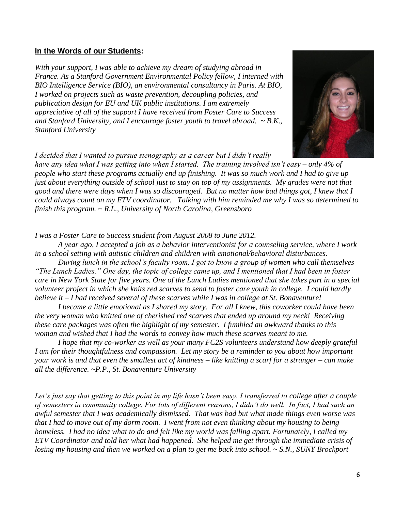#### **In the Words of our Students:**

*With your support, I was able to achieve my dream of studying abroad in France. As a Stanford Government Environmental Policy fellow, I interned with BIO Intelligence Service (BIO), an environmental consultancy in Paris. At BIO, I worked on projects such as waste prevention, decoupling policies, and publication design for EU and UK public institutions. I am extremely appreciative of all of the support I have received from Foster Care to Success and Stanford University, and I encourage foster youth to travel abroad. ~ B.K., Stanford University*

*I decided that I wanted to pursue stenography as a career but I didn't really* 

*have any idea what I was getting into when I started. The training involved isn't easy – only 4% of people who start these programs actually end up finishing. It was so much work and I had to give up just about everything outside of school just to stay on top of my assignments. My grades were not that good and there were days when I was so discouraged. But no matter how bad things got, I knew that I could always count on my ETV coordinator. Talking with him reminded me why I was so determined to finish this program. ~ R.L., University of North Carolina, Greensboro*

*I was a Foster Care to Success student from August 2008 to June 2012.*

*A year ago, I accepted a job as a behavior interventionist for a counseling service, where I work in a school setting with autistic children and children with emotional/behavioral disturbances.*

*During lunch in the school's faculty room, I got to know a group of women who call themselves "The Lunch Ladies." One day, the topic of college came up, and I mentioned that I had been in foster care in New York State for five years. One of the Lunch Ladies mentioned that she takes part in a special volunteer project in which she knits red scarves to send to foster care youth in college. I could hardly believe it – I had received several of these scarves while I was in college at St. Bonaventure!* 

*I became a little emotional as I shared my story. For all I knew, this coworker could have been the very woman who knitted one of cherished red scarves that ended up around my neck! Receiving these care packages was often the highlight of my semester. I fumbled an awkward thanks to this woman and wished that I had the words to convey how much these scarves meant to me.*

*I hope that my co-worker as well as your many FC2S volunteers understand how deeply grateful I am for their thoughtfulness and compassion. Let my story be a reminder to you about how important your work is and that even the smallest act of kindness – like knitting a scarf for a stranger – can make all the difference. ~P.P., St. Bonaventure University*

*Let's just say that getting to this point in my life hasn't been easy. I transferred to college after a couple of semesters in community college. For lots of different reasons, I didn't do well. In fact, I had such an awful semester that I was academically dismissed. That was bad but what made things even worse was that I had to move out of my dorm room. I went from not even thinking about my housing to being homeless. I had no idea what to do and felt like my world was falling apart. Fortunately, I called my ETV Coordinator and told her what had happened. She helped me get through the immediate crisis of losing my housing and then we worked on a plan to get me back into school. ~ S.N., SUNY Brockport*

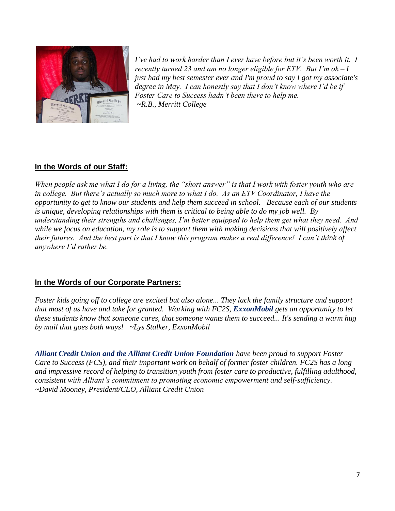

*I've had to work harder than I ever have before but it's been worth it. I recently turned 23 and am no longer eligible for ETV. But I'm ok – I just had my best semester ever and I'm proud to say I got my associate's degree in May. I can honestly say that I don't know where I'd be if Foster Care to Success hadn't been there to help me. ~R.B., Merritt College*

# **In the Words of our Staff:**

*When people ask me what I do for a living, the "short answer" is that I work with foster youth who are in college. But there's actually so much more to what I do. As an ETV Coordinator, I have the opportunity to get to know our students and help them succeed in school. Because each of our students is unique, developing relationships with them is critical to being able to do my job well. By understanding their strengths and challenges, I'm better equipped to help them get what they need. And while we focus on education, my role is to support them with making decisions that will positively affect their futures. And the best part is that I know this program makes a real difference! I can't think of anywhere I'd rather be.*

## **In the Words of our Corporate Partners:**

*Foster kids going off to college are excited but also alone... They lack the family structure and support that most of us have and take for granted. Working with FC2S, ExxonMobil gets an opportunity to let these students know that someone cares, that someone wants them to succeed... It's sending a warm hug by mail that goes both ways! ~Lys Stalker, ExxonMobil*

*Alliant Credit Union and the Alliant Credit Union Foundation have been proud to support Foster Care to Success (FCS), and their important work on behalf of former foster children. FC2S has a long and impressive record of helping to transition youth from foster care to productive, fulfilling adulthood, consistent with Alliant's commitment to promoting economic empowerment and self-sufficiency. ~David Mooney, President/CEO, Alliant Credit Union*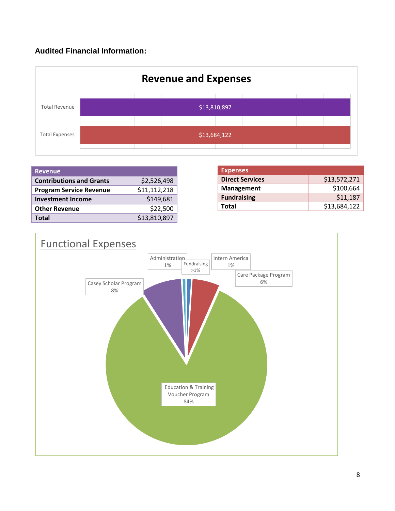# **Audited Financial Information:**



| <b>Revenue</b>                  |              |
|---------------------------------|--------------|
| <b>Contributions and Grants</b> | \$2,526,498  |
| <b>Program Service Revenue</b>  | \$11,112,218 |
| <b>Investment Income</b>        | \$149,681    |
| <b>Other Revenue</b>            | \$22,500     |
| Total                           | \$13,810,897 |

| <b>Expenses</b>        |              |
|------------------------|--------------|
| <b>Direct Services</b> | \$13,572,271 |
| <b>Management</b>      | \$100,664    |
| <b>Fundraising</b>     | \$11,187     |
| Total                  | \$13,684,122 |